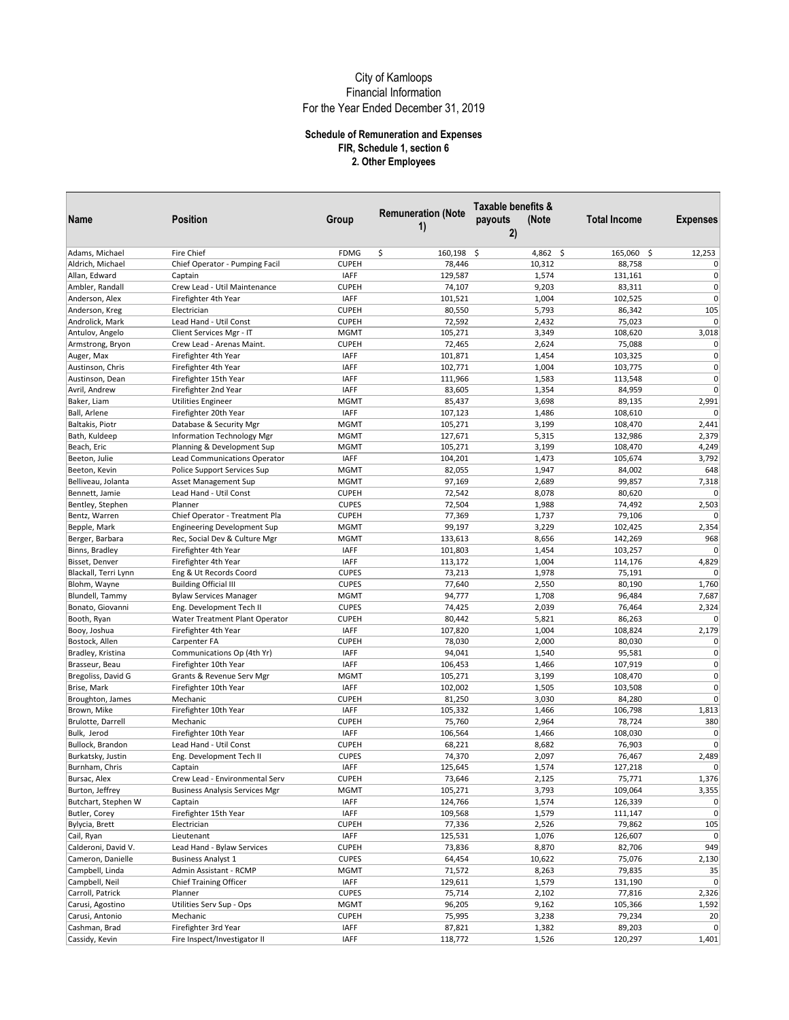| Name                 | <b>Position</b>                       | Group        | <b>Remuneration (Note</b><br>1) | Taxable benefits &<br>payouts<br>(Note<br>2) | <b>Total Income</b> | <b>Expenses</b> |
|----------------------|---------------------------------------|--------------|---------------------------------|----------------------------------------------|---------------------|-----------------|
| Adams, Michael       | Fire Chief                            | <b>FDMG</b>  | \$<br>160,198                   | \$<br>4,862 \$                               | 165,060 \$          | 12,253          |
| Aldrich, Michael     | Chief Operator - Pumping Facil        | <b>CUPEH</b> | 78,446                          | 10,312                                       | 88,758              | $\overline{0}$  |
| Allan, Edward        | Captain                               | <b>IAFF</b>  | 129,587                         | 1,574                                        | 131,161             | $\overline{0}$  |
| Ambler, Randall      | Crew Lead - Util Maintenance          | <b>CUPEH</b> | 74,107                          | 9,203                                        | 83,311              | $\overline{0}$  |
| Anderson, Alex       | Firefighter 4th Year                  | <b>IAFF</b>  | 101,521                         | 1,004                                        | 102,525             | $\overline{0}$  |
| Anderson, Kreg       | Electrician                           | <b>CUPEH</b> | 80,550                          | 5,793                                        | 86,342              | 105             |
| Androlick, Mark      | Lead Hand - Util Const                | <b>CUPEH</b> | 72,592                          | 2,432                                        | 75,023              | $\overline{0}$  |
| Antulov, Angelo      | Client Services Mgr - IT              | <b>MGMT</b>  | 105,271                         | 3,349                                        | 108,620             | 3,018           |
| Armstrong, Bryon     | Crew Lead - Arenas Maint.             | <b>CUPEH</b> | 72,465                          | 2,624                                        | 75,088              | $\Omega$        |
| Auger, Max           | Firefighter 4th Year                  | <b>IAFF</b>  | 101,871                         | 1,454                                        | 103,325             | $\overline{0}$  |
| Austinson, Chris     | Firefighter 4th Year                  | <b>IAFF</b>  | 102,771                         | 1,004                                        | 103,775             | $\overline{0}$  |
| Austinson, Dean      | Firefighter 15th Year                 | <b>IAFF</b>  | 111,966                         | 1,583                                        | 113,548             | $\overline{0}$  |
| Avril, Andrew        | Firefighter 2nd Year                  | <b>IAFF</b>  | 83,605                          | 1,354                                        | 84,959              | $\overline{0}$  |
| Baker, Liam          | <b>Utilities Engineer</b>             | <b>MGMT</b>  | 85,437                          | 3,698                                        | 89,135              | 2,991           |
| Ball, Arlene         | Firefighter 20th Year                 | <b>IAFF</b>  | 107,123                         | 1,486                                        | 108,610             | $\Omega$        |
| Baltakis, Piotr      | Database & Security Mgr               | <b>MGMT</b>  | 105,271                         | 3,199                                        | 108,470             | 2,441           |
| Bath, Kuldeep        | Information Technology Mgr            | <b>MGMT</b>  | 127,671                         | 5,315                                        | 132,986             | 2,379           |
| Beach, Eric          | Planning & Development Sup            | <b>MGMT</b>  | 105,271                         | 3,199                                        | 108,470             | 4,249           |
| Beeton, Julie        | Lead Communications Operator          | <b>IAFF</b>  | 104,201                         | 1,473                                        | 105,674             | 3,792           |
| Beeton, Kevin        | Police Support Services Sup           | <b>MGMT</b>  | 82,055                          | 1,947                                        | 84,002              | 648             |
| Belliveau, Jolanta   | Asset Management Sup                  | <b>MGMT</b>  | 97,169                          | 2,689                                        | 99,857              | 7,318           |
| Bennett, Jamie       | Lead Hand - Util Const                | <b>CUPEH</b> | 72,542                          | 8,078                                        | 80,620              | $\Omega$        |
| Bentley, Stephen     | Planner                               | <b>CUPES</b> | 72,504                          | 1,988                                        | 74,492              | 2,503           |
| Bentz, Warren        | Chief Operator - Treatment Pla        | <b>CUPEH</b> | 77,369                          | 1,737                                        | 79,106              | $\Omega$        |
| Bepple, Mark         | <b>Engineering Development Sup</b>    | <b>MGMT</b>  | 99,197                          | 3,229                                        | 102,425             | 2,354           |
| Berger, Barbara      | Rec, Social Dev & Culture Mgr         | <b>MGMT</b>  | 133,613                         | 8,656                                        | 142,269             | 968             |
| Binns, Bradley       | Firefighter 4th Year                  | <b>IAFF</b>  | 101,803                         | 1,454                                        | 103,257             | $\pmb{0}$       |
| Bisset, Denver       | Firefighter 4th Year                  | <b>IAFF</b>  | 113,172                         | 1,004                                        | 114,176             | 4,829           |
| Blackall, Terri Lynn | Eng & Ut Records Coord                | <b>CUPES</b> | 73,213                          | 1,978                                        | 75,191              | $\Omega$        |
| Blohm, Wayne         | <b>Building Official III</b>          | <b>CUPES</b> | 77,640                          | 2,550                                        | 80,190              | 1,760           |
| Blundell, Tammy      | <b>Bylaw Services Manager</b>         | <b>MGMT</b>  | 94,777                          | 1,708                                        | 96,484              | 7,687           |
| Bonato, Giovanni     | Eng. Development Tech II              | <b>CUPES</b> | 74,425                          | 2,039                                        | 76,464              | 2,324           |
| Booth, Ryan          | Water Treatment Plant Operator        | <b>CUPEH</b> | 80,442                          | 5,821                                        | 86,263              | $\Omega$        |
| Booy, Joshua         | Firefighter 4th Year                  | <b>IAFF</b>  | 107,820                         | 1,004                                        | 108,824             | 2,179           |
| Bostock, Allen       | Carpenter FA                          | <b>CUPEH</b> | 78,030                          | 2,000                                        | 80,030              | $\overline{0}$  |
| Bradley, Kristina    | Communications Op (4th Yr)            | <b>IAFF</b>  | 94,041                          | 1,540                                        | 95,581              | $\overline{0}$  |
| Brasseur, Beau       | Firefighter 10th Year                 | <b>IAFF</b>  | 106,453                         | 1,466                                        | 107,919             | $\overline{0}$  |
| Bregoliss, David G   | Grants & Revenue Serv Mgr             | <b>MGMT</b>  | 105,271                         | 3,199                                        | 108,470             | $\overline{0}$  |
| Brise, Mark          | Firefighter 10th Year                 | <b>IAFF</b>  | 102,002                         | 1,505                                        | 103,508             | $\Omega$        |
| Broughton, James     | Mechanic                              | <b>CUPEH</b> | 81,250                          | 3,030                                        | 84,280              | $\overline{0}$  |
| Brown, Mike          | Firefighter 10th Year                 | <b>IAFF</b>  | 105,332                         | 1,466                                        | 106,798             | 1,813           |
| Brulotte, Darrell    | Mechanic                              | <b>CUPEH</b> | 75,760                          | 2,964                                        | 78,724              | 380             |
| Bulk, Jerod          | Firefighter 10th Year                 | <b>IAFF</b>  | 106,564                         | 1,466                                        | 108,030             | $\Omega$        |
| Bullock, Brandon     | Lead Hand - Util Const                | <b>CUPEH</b> | 68,221                          | 8,682                                        | 76,903              | $\overline{0}$  |
| Burkatsky, Justin    | Eng. Development Tech II              | <b>CUPES</b> | 74,370                          | 2,097                                        | 76,467              | 2,489           |
| Burnham, Chris       | Captain                               | <b>IAFF</b>  | 125,645                         | 1,574                                        | 127,218             | $\Omega$        |
| Bursac, Alex         | Crew Lead - Environmental Serv        | <b>CUPEH</b> | 73,646                          | 2,125                                        | 75,771              | 1,376           |
| Burton, Jeffrey      | <b>Business Analysis Services Mgr</b> | <b>MGMT</b>  | 105,271                         | 3,793                                        | 109,064             | 3,355           |
| Butchart, Stephen W  | Captain                               | <b>IAFF</b>  | 124,766                         | 1,574                                        | 126,339             | $\overline{0}$  |
| Butler, Corey        | Firefighter 15th Year                 | <b>IAFF</b>  | 109,568                         | 1,579                                        | 111,147             | $\overline{0}$  |
| Bylycia, Brett       | Electrician                           | <b>CUPEH</b> | 77,336                          | 2,526                                        | 79,862              | 105             |
| Cail, Ryan           | Lieutenant                            | <b>IAFF</b>  | 125,531                         | 1,076                                        | 126,607             | $\overline{0}$  |
| Calderoni, David V.  | Lead Hand - Bylaw Services            | <b>CUPEH</b> | 73,836                          | 8,870                                        | 82,706              | 949             |
| Cameron, Danielle    | <b>Business Analyst 1</b>             | <b>CUPES</b> | 64,454                          | 10,622                                       | 75,076              | 2,130           |
| Campbell, Linda      | Admin Assistant - RCMP                | <b>MGMT</b>  | 71,572                          | 8,263                                        | 79,835              | 35              |
| Campbell, Neil       | <b>Chief Training Officer</b>         | <b>IAFF</b>  | 129,611                         | 1,579                                        | 131,190             | $\overline{0}$  |
| Carroll, Patrick     | Planner                               | <b>CUPES</b> | 75,714                          | 2,102                                        | 77,816              | 2,326           |
| Carusi, Agostino     | Utilities Serv Sup - Ops              | <b>MGMT</b>  | 96,205                          | 9,162                                        | 105,366             | 1,592           |
| Carusi, Antonio      | Mechanic                              | <b>CUPEH</b> | 75,995                          | 3,238                                        | 79,234              | 20              |
| Cashman, Brad        | Firefighter 3rd Year                  | <b>IAFF</b>  | 87,821                          | 1,382                                        | 89,203              | $\overline{0}$  |
| Cassidy, Kevin       | Fire Inspect/Investigator II          | <b>IAFF</b>  | 118,772                         | 1,526                                        | 120,297             | 1,401           |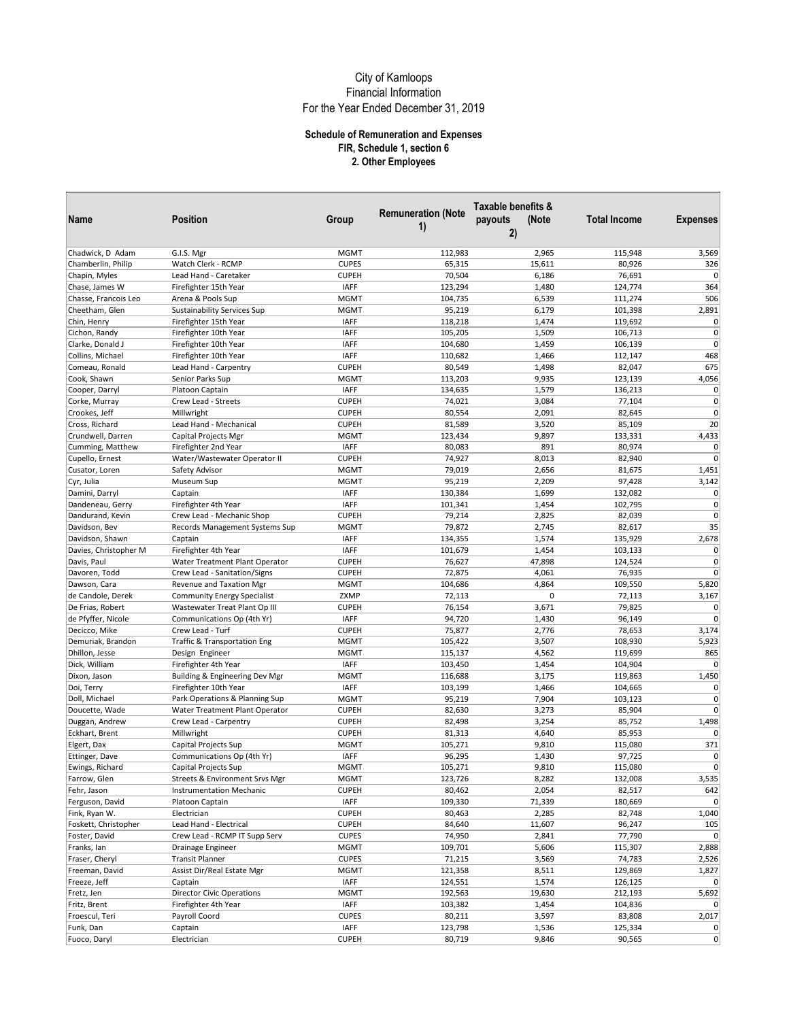|                       |                                    |              |                                 | Taxable benefits & |                     |                 |
|-----------------------|------------------------------------|--------------|---------------------------------|--------------------|---------------------|-----------------|
| Name                  | Position                           | Group        | <b>Remuneration (Note</b><br>1) | (Note<br>payouts   | <b>Total Income</b> | <b>Expenses</b> |
|                       |                                    |              |                                 | 2)                 |                     |                 |
| Chadwick, D Adam      | G.I.S. Mgr                         | <b>MGMT</b>  | 112,983                         | 2,965              | 115,948             | 3,569           |
| Chamberlin, Philip    | Watch Clerk - RCMP                 | <b>CUPES</b> | 65,315                          | 15,611             | 80,926              | 326             |
| Chapin, Myles         | Lead Hand - Caretaker              | <b>CUPEH</b> | 70,504                          | 6,186              | 76,691              | $\overline{0}$  |
| Chase, James W        | Firefighter 15th Year              | <b>IAFF</b>  | 123,294                         | 1,480              | 124,774             | 364             |
| Chasse, Francois Leo  | Arena & Pools Sup                  | <b>MGMT</b>  | 104,735                         | 6,539              | 111,274             | 506             |
| Cheetham, Glen        | <b>Sustainability Services Sup</b> | <b>MGMT</b>  | 95,219                          | 6,179              | 101,398             | 2,891           |
| Chin, Henry           | Firefighter 15th Year              | <b>IAFF</b>  | 118,218                         | 1,474              | 119,692             | $\overline{0}$  |
| Cichon, Randy         | Firefighter 10th Year              | <b>IAFF</b>  | 105,205                         | 1,509              | 106,713             | $\overline{0}$  |
| Clarke, Donald J      | Firefighter 10th Year              | <b>IAFF</b>  | 104,680                         | 1,459              | 106,139             | $\overline{0}$  |
| Collins, Michael      | Firefighter 10th Year              | <b>IAFF</b>  | 110,682                         | 1,466              | 112,147             | 468             |
| Comeau, Ronald        | Lead Hand - Carpentry              | <b>CUPEH</b> | 80,549                          | 1,498              | 82,047              | 675             |
| Cook, Shawn           | Senior Parks Sup                   | <b>MGMT</b>  | 113,203                         | 9,935              | 123,139             | 4,056           |
| Cooper, Darryl        | Platoon Captain                    | <b>IAFF</b>  | 134,635                         | 1,579              | 136,213             | $\overline{0}$  |
| Corke, Murray         | Crew Lead - Streets                | <b>CUPEH</b> | 74,021                          | 3,084              | 77,104              | $\Omega$        |
| Crookes, Jeff         | Millwright                         | <b>CUPEH</b> | 80,554                          | 2,091              | 82,645              | $\overline{0}$  |
| Cross, Richard        | Lead Hand - Mechanical             | <b>CUPEH</b> | 81,589                          | 3,520              | 85,109              | 20              |
| Crundwell, Darren     | Capital Projects Mgr               | <b>MGMT</b>  | 123,434                         | 9,897              | 133,331             | 4,433           |
| Cumming, Matthew      | Firefighter 2nd Year               | <b>IAFF</b>  | 80,083                          | 891                | 80,974              | $\Omega$        |
| Cupello, Ernest       | Water/Wastewater Operator II       | <b>CUPEH</b> | 74,927                          | 8,013              | 82,940              | $\overline{0}$  |
| Cusator, Loren        | Safety Advisor                     | <b>MGMT</b>  | 79,019                          | 2,656              | 81,675              | 1,451           |
| Cyr, Julia            | Museum Sup                         | <b>MGMT</b>  | 95,219                          | 2,209              | 97,428              | 3,142           |
| Damini, Darryl        | Captain                            | <b>IAFF</b>  | 130,384                         | 1,699              | 132,082             | $\overline{0}$  |
| Dandeneau, Gerry      | Firefighter 4th Year               | <b>IAFF</b>  | 101,341                         | 1,454              | 102,795             | 0               |
| Dandurand, Kevin      | Crew Lead - Mechanic Shop          | <b>CUPEH</b> | 79,214                          | 2,825              | 82,039              | $\Omega$        |
| Davidson, Bev         | Records Management Systems Sup     | <b>MGMT</b>  | 79,872                          | 2,745              | 82,617              | 35              |
| Davidson, Shawn       | Captain                            | IAFF         | 134,355                         | 1,574              | 135,929             | 2,678           |
| Davies, Christopher M | Firefighter 4th Year               | <b>IAFF</b>  | 101,679                         | 1,454              | 103,133             | $\Omega$        |
| Davis, Paul           | Water Treatment Plant Operator     | <b>CUPEH</b> | 76,627                          | 47,898             | 124,524             | $\overline{0}$  |
| Davoren, Todd         | Crew Lead - Sanitation/Signs       | <b>CUPEH</b> | 72,875                          | 4,061              | 76,935              | $\Omega$        |
| Dawson, Cara          | Revenue and Taxation Mgr           | <b>MGMT</b>  | 104,686                         | 4,864              | 109,550             | 5,820           |
| de Candole, Derek     | <b>Community Energy Specialist</b> | ZXMP         | 72,113                          | 0                  | 72,113              | 3,167           |
| De Frias, Robert      | Wastewater Treat Plant Op III      | <b>CUPEH</b> | 76,154                          | 3,671              | 79,825              | $\Omega$        |
| de Pfyffer, Nicole    | Communications Op (4th Yr)         | <b>IAFF</b>  | 94,720                          | 1,430              | 96,149              | $\Omega$        |
| Decicco, Mike         | Crew Lead - Turf                   | <b>CUPEH</b> | 75,877                          | 2,776              | 78,653              | 3,174           |
| Demuriak, Brandon     | Traffic & Transportation Eng       | <b>MGMT</b>  | 105,422                         | 3,507              | 108,930             | 5,923           |
| Dhillon, Jesse        | Design Engineer                    | <b>MGMT</b>  | 115,137                         | 4,562              | 119,699             | 865             |
| Dick, William         | Firefighter 4th Year               | <b>IAFF</b>  | 103,450                         | 1,454              | 104,904             | $\Omega$        |
| Dixon, Jason          | Building & Engineering Dev Mgr     | <b>MGMT</b>  | 116,688                         | 3,175              | 119,863             | 1,450           |
| Doi, Terry            | Firefighter 10th Year              | <b>IAFF</b>  | 103,199                         | 1,466              | 104,665             | $\Omega$        |
| Doll, Michael         | Park Operations & Planning Sup     | <b>MGMT</b>  | 95,219                          | 7,904              | 103,123             | $\overline{0}$  |
| Doucette, Wade        | Water Treatment Plant Operator     | <b>CUPEH</b> | 82,630                          | 3,273              | 85,904              | $\Omega$        |
| Duggan, Andrew        | Crew Lead - Carpentry              | <b>CUPEH</b> | 82,498                          | 3,254              | 85,752              | 1,498           |
| Eckhart, Brent        | Millwright                         | <b>CUPEH</b> | 81,313                          | 4,640              | 85,953              | $\Omega$        |
| Elgert, Dax           | Capital Projects Sup               | <b>MGMT</b>  | 105,271                         | 9,810              | 115,080             | 371             |
| Ettinger, Dave        | Communications Op (4th Yr)         | <b>IAFF</b>  | 96,295                          | 1,430              | 97,725              | $\overline{0}$  |
| Ewings, Richard       | Capital Projects Sup               | <b>MGMT</b>  | 105,271                         | 9,810              | 115,080             | $\overline{0}$  |
| Farrow, Glen          | Streets & Environment Srvs Mgr     | <b>MGMT</b>  | 123,726                         | 8,282              | 132,008             | 3,535           |
| Fehr, Jason           | <b>Instrumentation Mechanic</b>    | <b>CUPEH</b> | 80,462                          | 2,054              | 82,517              | 642             |
| Ferguson, David       | Platoon Captain                    | <b>IAFF</b>  | 109,330                         | 71,339             | 180,669             | $\overline{0}$  |
| Fink, Ryan W.         | Electrician                        | <b>CUPEH</b> | 80,463                          | 2,285              | 82,748              | 1,040           |
| Foskett, Christopher  | Lead Hand - Electrical             | <b>CUPEH</b> | 84,640                          | 11,607             | 96,247              | 105             |
| Foster, David         | Crew Lead - RCMP IT Supp Serv      | <b>CUPES</b> | 74,950                          | 2,841              | 77,790              | $\overline{0}$  |
| Franks, Ian           | Drainage Engineer                  | <b>MGMT</b>  | 109,701                         | 5,606              | 115,307             | 2,888           |
| Fraser, Cheryl        | <b>Transit Planner</b>             | <b>CUPES</b> | 71,215                          | 3,569              | 74,783              | 2,526           |
| Freeman, David        | Assist Dir/Real Estate Mgr         | <b>MGMT</b>  | 121,358                         | 8,511              | 129,869             | 1,827           |
| Freeze, Jeff          | Captain                            | <b>IAFF</b>  | 124,551                         | 1,574              | 126,125             | $\overline{0}$  |
| Fretz, Jen            | <b>Director Civic Operations</b>   | <b>MGMT</b>  | 192,563                         | 19,630             | 212,193             | 5,692           |
| Fritz, Brent          | Firefighter 4th Year               | <b>IAFF</b>  | 103,382                         | 1,454              | 104,836             | $\Omega$        |
| Froescul, Teri        | Payroll Coord                      | <b>CUPES</b> | 80,211                          | 3,597              | 83,808              | 2,017           |
| Funk, Dan             | Captain                            | <b>IAFF</b>  | 123,798                         | 1,536              | 125,334             | $\overline{0}$  |
| Fuoco, Daryl          | Electrician                        | <b>CUPEH</b> | 80,719                          | 9,846              | 90,565              | $\overline{0}$  |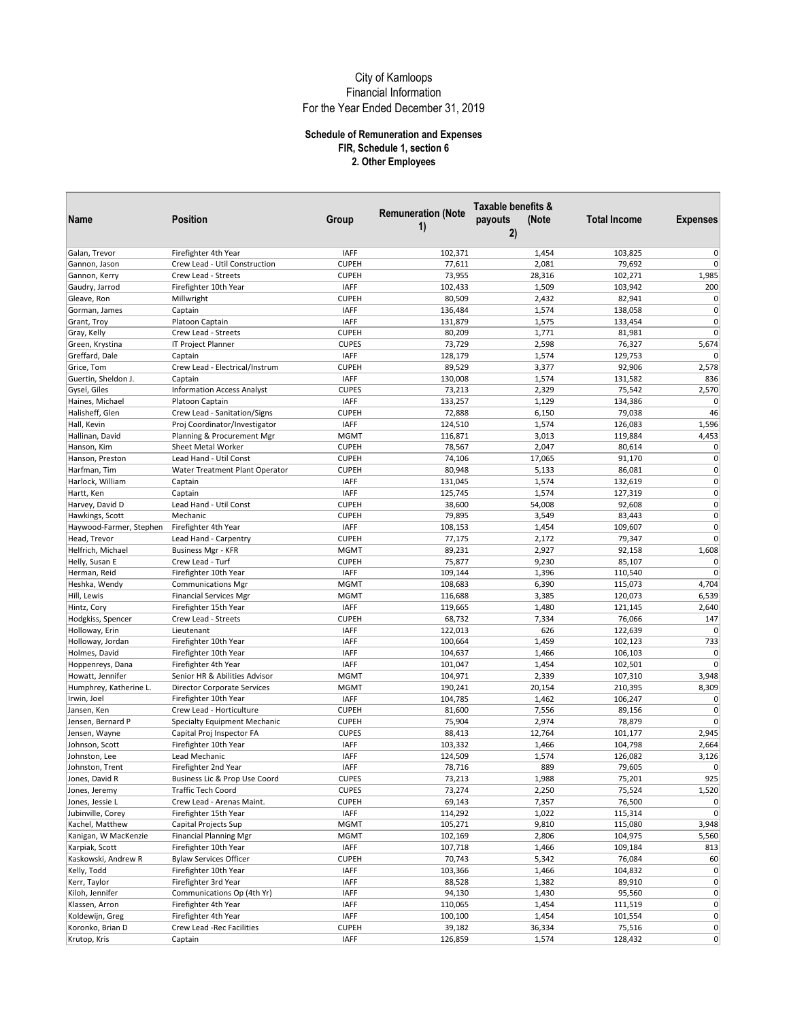|                            |                                   |              |                                 | Taxable benefits &     |                     |                            |
|----------------------------|-----------------------------------|--------------|---------------------------------|------------------------|---------------------|----------------------------|
| Name                       | <b>Position</b>                   | Group        | <b>Remuneration (Note</b><br>1) | payouts<br>(Note<br>2) | <b>Total Income</b> | <b>Expenses</b>            |
| Galan, Trevor              | Firefighter 4th Year              | <b>IAFF</b>  | 102,371                         | 1,454                  | 103,825             | 0                          |
| Gannon, Jason              | Crew Lead - Util Construction     | <b>CUPEH</b> | 77,611                          | 2,081                  | 79,692              | $\overline{0}$             |
| Gannon, Kerry              | Crew Lead - Streets               | <b>CUPEH</b> | 73,955                          | 28,316                 | 102,271             | 1,985                      |
| Gaudry, Jarrod             | Firefighter 10th Year             | <b>IAFF</b>  | 102,433                         | 1,509                  | 103,942             | 200                        |
| Gleave, Ron                | Millwright                        | <b>CUPEH</b> | 80,509                          | 2,432                  | 82,941              | $\overline{0}$             |
|                            |                                   |              |                                 |                        |                     | $\overline{0}$             |
| Gorman, James              | Captain                           | <b>IAFF</b>  | 136,484                         | 1,574                  | 138,058             |                            |
| Grant, Troy                | Platoon Captain                   | <b>IAFF</b>  | 131,879                         | 1,575                  | 133,454             | $\overline{0}$<br>$\Omega$ |
| Gray, Kelly                | Crew Lead - Streets               | <b>CUPEH</b> | 80,209                          | 1,771                  | 81,981              |                            |
| Green, Krystina            | IT Project Planner                | <b>CUPES</b> | 73,729                          | 2,598                  | 76,327              | 5,674                      |
| Greffard, Dale             | Captain                           | <b>IAFF</b>  | 128,179                         | 1,574                  | 129,753             | $\overline{0}$             |
| Grice, Tom                 | Crew Lead - Electrical/Instrum    | <b>CUPEH</b> | 89,529                          | 3,377                  | 92,906              | 2,578                      |
| Guertin, Sheldon J.        | Captain                           | <b>IAFF</b>  | 130,008                         | 1,574                  | 131,582             | 836                        |
| Gysel, Giles               | <b>Information Access Analyst</b> | <b>CUPES</b> | 73,213                          | 2,329                  | 75,542              | 2,570                      |
| Haines, Michael            | Platoon Captain                   | <b>IAFF</b>  | 133,257                         | 1,129                  | 134,386             | $\overline{0}$             |
| Halisheff, Glen            | Crew Lead - Sanitation/Signs      | <b>CUPEH</b> | 72,888                          | 6,150                  | 79,038              | 46                         |
| Hall, Kevin                | Proj Coordinator/Investigator     | <b>IAFF</b>  | 124,510                         | 1,574                  | 126,083             | 1,596                      |
| Hallinan, David            | Planning & Procurement Mgr        | <b>MGMT</b>  | 116,871                         | 3,013                  | 119,884             | 4,453                      |
| Hanson, Kim                | Sheet Metal Worker                | <b>CUPEH</b> | 78,567                          | 2,047                  | 80,614              | $\overline{0}$             |
| Hanson, Preston            | Lead Hand - Util Const            | <b>CUPEH</b> | 74,106                          | 17,065                 | 91,170              | $\overline{0}$             |
| Harfman, Tim               | Water Treatment Plant Operator    | <b>CUPEH</b> | 80,948                          | 5,133                  | 86,081              | $\Omega$                   |
| Harlock, William           | Captain                           | <b>IAFF</b>  | 131,045                         | 1,574                  | 132,619             | $\pmb{0}$                  |
| Hartt, Ken                 | Captain                           | <b>IAFF</b>  | 125,745                         | 1,574                  | 127,319             | $\overline{0}$             |
| Harvey, David D            | Lead Hand - Util Const            | <b>CUPEH</b> | 38,600                          | 54,008                 | 92,608              | $\pmb{0}$                  |
| Hawkings, Scott            | Mechanic                          | <b>CUPEH</b> | 79,895                          | 3,549                  | 83,443              | $\overline{0}$             |
| Haywood-Farmer, Stephen    | Firefighter 4th Year              | <b>IAFF</b>  | 108,153                         | 1,454                  | 109,607             | $\overline{0}$             |
| Head, Trevor               | Lead Hand - Carpentry             | <b>CUPEH</b> | 77,175                          | 2,172                  | 79,347              | $\Omega$                   |
| Helfrich, Michael          | <b>Business Mgr - KFR</b>         | <b>MGMT</b>  | 89,231                          | 2,927                  | 92,158              | 1,608                      |
| Helly, Susan E             | Crew Lead - Turf                  | <b>CUPEH</b> | 75,877                          | 9,230                  | 85,107              | $\Omega$                   |
| Herman, Reid               | Firefighter 10th Year             | <b>IAFF</b>  | 109,144                         | 1,396                  | 110,540             | $\overline{0}$             |
| Heshka, Wendy              | <b>Communications Mgr</b>         | <b>MGMT</b>  | 108,683                         | 6,390                  | 115,073             | 4,704                      |
| Hill, Lewis                | <b>Financial Services Mgr</b>     | <b>MGMT</b>  | 116,688                         | 3,385                  | 120,073             | 6,539                      |
| Hintz, Cory                | Firefighter 15th Year             | <b>IAFF</b>  | 119,665                         | 1,480                  | 121,145             | 2,640                      |
| Hodgkiss, Spencer          | Crew Lead - Streets               | <b>CUPEH</b> | 68,732                          | 7,334                  | 76,066              | 147                        |
| Holloway, Erin             | Lieutenant                        | <b>IAFF</b>  | 122,013                         | 626                    | 122,639             | $\overline{0}$             |
| Holloway, Jordan           | Firefighter 10th Year             | <b>IAFF</b>  | 100,664                         | 1,459                  | 102,123             | 733                        |
| Holmes, David              | Firefighter 10th Year             | <b>IAFF</b>  | 104,637                         | 1,466                  | 106,103             | $\Omega$                   |
| Hoppenreys, Dana           | Firefighter 4th Year              | <b>IAFF</b>  | 101,047                         | 1,454                  | 102,501             | $\overline{0}$             |
| Howatt, Jennifer           | Senior HR & Abilities Advisor     | <b>MGMT</b>  | 104,971                         | 2,339                  | 107,310             | 3,948                      |
| Humphrey, Katherine L.     | Director Corporate Services       | <b>MGMT</b>  | 190,241                         | 20,154                 | 210,395             | 8,309                      |
|                            | Firefighter 10th Year             | <b>IAFF</b>  | 104,785                         | 1,462                  | 106,247             | 0                          |
| Irwin, Joel<br>Jansen, Ken | Crew Lead - Horticulture          |              |                                 |                        |                     | $\overline{0}$             |
|                            |                                   | <b>CUPEH</b> | 81,600<br>75,904                | 7,556<br>2,974         | 89,156              | $\overline{0}$             |
| Jensen, Bernard P          | Specialty Equipment Mechanic      | <b>CUPEH</b> |                                 |                        | 78,879              | 2,945                      |
| Jensen, Wayne              | Capital Proj Inspector FA         | <b>CUPES</b> | 88,413                          | 12,764                 | 101,177             |                            |
| Johnson, Scott             | Firefighter 10th Year             | <b>IAFF</b>  | 103,332                         | 1,466                  | 104,798             | 2,664                      |
| Johnston, Lee              | Lead Mechanic                     | <b>IAFF</b>  | 124,509                         | 1,574                  | 126,082             | 3,126                      |
| Johnston, Trent            | Firefighter 2nd Year              | <b>IAFF</b>  | 78,716                          | 889                    | 79,605              | $\overline{0}$             |
| Jones, David R             | Business Lic & Prop Use Coord     | <b>CUPES</b> | 73,213                          | 1,988                  | 75,201              | 925                        |
| Jones, Jeremy              | <b>Traffic Tech Coord</b>         | <b>CUPES</b> | 73,274                          | 2,250                  | 75,524              | 1,520                      |
| Jones, Jessie L            | Crew Lead - Arenas Maint.         | <b>CUPEH</b> | 69,143                          | 7,357                  | 76,500              | $\overline{0}$             |
| Jubinville, Corey          | Firefighter 15th Year             | <b>IAFF</b>  | 114,292                         | 1,022                  | 115,314             | $\overline{0}$             |
| Kachel, Matthew            | Capital Projects Sup              | <b>MGMT</b>  | 105,271                         | 9,810                  | 115,080             | 3,948                      |
| Kanigan, W MacKenzie       | <b>Financial Planning Mgr</b>     | <b>MGMT</b>  | 102,169                         | 2,806                  | 104,975             | 5,560                      |
| Karpiak, Scott             | Firefighter 10th Year             | <b>IAFF</b>  | 107,718                         | 1,466                  | 109,184             | 813                        |
| Kaskowski, Andrew R        | <b>Bylaw Services Officer</b>     | <b>CUPEH</b> | 70,743                          | 5,342                  | 76,084              | 60                         |
| Kelly, Todd                | Firefighter 10th Year             | <b>IAFF</b>  | 103,366                         | 1,466                  | 104,832             | $\mathbf{0}$               |
| Kerr, Taylor               | Firefighter 3rd Year              | <b>IAFF</b>  | 88,528                          | 1,382                  | 89,910              | $\overline{0}$             |
| Kiloh, Jennifer            | Communications Op (4th Yr)        | <b>IAFF</b>  | 94,130                          | 1,430                  | 95,560              | $\overline{0}$             |
| Klassen, Arron             | Firefighter 4th Year              | <b>IAFF</b>  | 110,065                         | 1,454                  | 111,519             | $\mathbf{0}$               |
| Koldewijn, Greg            | Firefighter 4th Year              | <b>IAFF</b>  | 100,100                         | 1,454                  | 101,554             | $\overline{0}$             |
| Koronko, Brian D           | Crew Lead -Rec Facilities         | <b>CUPEH</b> | 39,182                          | 36,334                 | 75,516              | $\mathbf{0}$               |
| Krutop, Kris               | Captain                           | <b>IAFF</b>  | 126,859                         | 1,574                  | 128,432             | $\mathbf{0}$               |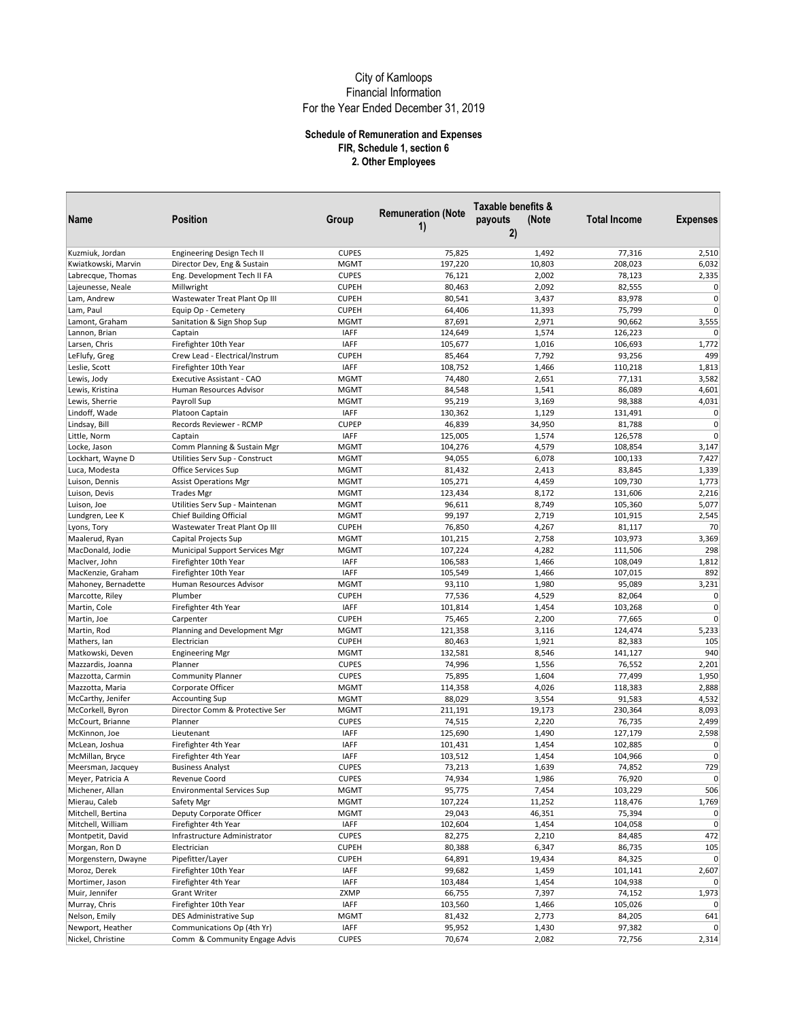|                                      |                                           |                             | <b>Remuneration (Note</b> | Taxable benefits &     |                     |                 |
|--------------------------------------|-------------------------------------------|-----------------------------|---------------------------|------------------------|---------------------|-----------------|
| Name                                 | Position                                  | Group                       | 1)                        | payouts<br>(Note<br>2) | <b>Total Income</b> | <b>Expenses</b> |
| Kuzmiuk, Jordan                      | Engineering Design Tech II                | <b>CUPES</b>                | 75,825                    | 1,492                  | 77,316              | 2,510           |
| Kwiatkowski, Marvin                  | Director Dev, Eng & Sustain               | <b>MGMT</b>                 | 197,220                   | 10,803                 | 208,023             | 6,032           |
| Labrecque, Thomas                    | Eng. Development Tech II FA               | <b>CUPES</b>                | 76,121                    | 2,002                  | 78,123              | 2,335           |
| Lajeunesse, Neale                    | Millwright                                | <b>CUPEH</b>                | 80,463                    | 2,092                  | 82,555              | $\overline{0}$  |
| Lam, Andrew                          | Wastewater Treat Plant Op III             | <b>CUPEH</b>                | 80,541                    | 3,437                  | 83,978              | $\overline{0}$  |
| Lam, Paul                            | Equip Op - Cemetery                       | <b>CUPEH</b>                | 64,406                    | 11,393                 | 75,799              | $\Omega$        |
| Lamont, Graham                       | Sanitation & Sign Shop Sup                | <b>MGMT</b>                 | 87,691                    | 2,971                  | 90,662              | 3,555           |
| Lannon, Brian                        | Captain                                   | <b>IAFF</b>                 | 124,649                   | 1,574                  | 126,223             | $\Omega$        |
| Larsen, Chris                        | Firefighter 10th Year                     | IAFF                        | 105,677                   | 1,016                  | 106,693             | 1,772           |
| LeFlufy, Greg                        | Crew Lead - Electrical/Instrum            | <b>CUPEH</b>                | 85,464                    | 7,792                  | 93,256              | 499             |
| Leslie, Scott                        | Firefighter 10th Year                     | <b>IAFF</b>                 | 108,752                   | 1,466                  | 110,218             | 1,813           |
| Lewis, Jody                          | Executive Assistant - CAO                 | <b>MGMT</b>                 | 74,480                    | 2,651                  | 77,131              | 3,582           |
| Lewis, Kristina                      | Human Resources Advisor                   | <b>MGMT</b>                 | 84,548                    | 1,541                  | 86,089              | 4,601           |
| Lewis, Sherrie                       | Payroll Sup                               | <b>MGMT</b>                 | 95,219                    | 3,169                  | 98,388              | 4,031           |
| Lindoff, Wade                        | Platoon Captain                           | <b>IAFF</b>                 | 130,362                   | 1,129                  | 131,491             | $\overline{0}$  |
| Lindsay, Bill                        | Records Reviewer - RCMP                   | <b>CUPEP</b>                | 46,839                    | 34,950                 | 81,788              | $\Omega$        |
| Little, Norm                         | Captain                                   | IAFF                        | 125,005                   | 1,574                  | 126,578             | $\overline{0}$  |
| Locke, Jason                         | Comm Planning & Sustain Mgr               | <b>MGMT</b>                 | 104,276                   | 4,579                  | 108,854             | 3,147           |
| Lockhart, Wayne D                    | Utilities Serv Sup - Construct            | <b>MGMT</b>                 | 94,055                    | 6,078                  | 100,133             | 7,427           |
| Luca, Modesta                        | Office Services Sup                       | <b>MGMT</b>                 | 81,432                    | 2,413                  | 83,845              | 1,339           |
| Luison, Dennis                       | <b>Assist Operations Mgr</b>              | <b>MGMT</b>                 | 105,271                   | 4,459                  | 109,730             | 1,773           |
| Luison, Devis                        | <b>Trades Mgr</b>                         | <b>MGMT</b>                 | 123,434                   | 8,172                  | 131,606             | 2,216           |
| Luison, Joe                          | Utilities Serv Sup - Maintenan            | <b>MGMT</b>                 | 96,611                    | 8,749                  | 105,360             | 5,077           |
| Lundgren, Lee K                      | <b>Chief Building Official</b>            | <b>MGMT</b>                 | 99,197                    | 2,719                  | 101,915             | 2,545           |
| Lyons, Tory                          | Wastewater Treat Plant Op III             | <b>CUPEH</b>                | 76,850                    | 4,267                  | 81,117              | 70              |
| Maalerud, Ryan                       | Capital Projects Sup                      | <b>MGMT</b>                 | 101,215                   | 2,758                  | 103,973             | 3,369           |
| MacDonald, Jodie                     | Municipal Support Services Mgr            | <b>MGMT</b>                 | 107,224                   | 4,282                  | 111,506             | 298             |
| MacIver, John                        | Firefighter 10th Year                     | <b>IAFF</b>                 | 106,583                   | 1,466                  | 108,049             | 1,812           |
| MacKenzie, Graham                    | Firefighter 10th Year                     | <b>IAFF</b>                 | 105,549                   | 1,466                  | 107,015             | 892             |
| Mahoney, Bernadette                  | Human Resources Advisor                   | <b>MGMT</b>                 | 93,110                    | 1,980                  | 95,089              | 3,231           |
| Marcotte, Riley                      | Plumber                                   | <b>CUPEH</b>                | 77,536                    | 4,529                  | 82,064              | $\overline{0}$  |
| Martin, Cole                         | Firefighter 4th Year                      | <b>IAFF</b>                 | 101,814                   | 1,454                  | 103,268             | $\overline{0}$  |
| Martin, Joe                          | Carpenter                                 | <b>CUPEH</b>                | 75,465                    | 2,200                  | 77,665              | $\Omega$        |
| Martin, Rod                          | Planning and Development Mgr              | <b>MGMT</b>                 | 121,358                   | 3,116                  | 124,474             | 5,233           |
| Mathers, Ian                         | Electrician                               | <b>CUPEH</b>                | 80,463                    | 1,921                  | 82,383              | 105             |
| Matkowski, Deven                     | <b>Engineering Mgr</b>                    | <b>MGMT</b>                 | 132,581                   | 8,546                  | 141,127             | 940             |
| Mazzardis, Joanna                    | Planner                                   | <b>CUPES</b>                | 74,996                    | 1,556                  | 76,552              | 2,201           |
| Mazzotta, Carmin                     | <b>Community Planner</b>                  | <b>CUPES</b>                | 75,895                    | 1,604                  | 77,499              | 1,950           |
| Mazzotta, Maria                      | Corporate Officer                         | <b>MGMT</b>                 | 114,358                   | 4,026                  | 118,383             | 2,888           |
| McCarthy, Jenifer                    | <b>Accounting Sup</b>                     | <b>MGMT</b>                 | 88,029                    | 3,554                  | 91,583              | 4,532           |
| McCorkell, Byron<br>McCourt, Brianne | Director Comm & Protective Ser<br>Planner | <b>MGMT</b><br><b>CUPES</b> | 211,191<br>74,515         | 19,173<br>2,220        | 230,364<br>76,735   | 8,093<br>2,499  |
| McKinnon, Joe                        | Lieutenant                                | <b>IAFF</b>                 | 125,690                   | 1,490                  | 127,179             | 2,598           |
| McLean, Joshua                       | Firefighter 4th Year                      | <b>IAFF</b>                 | 101,431                   | 1,454                  | 102,885             | $\pmb{0}$       |
| McMillan, Bryce                      | Firefighter 4th Year                      | <b>IAFF</b>                 | 103,512                   | 1,454                  | 104,966             | $\Omega$        |
| Meersman, Jacquey                    | <b>Business Analyst</b>                   | <b>CUPES</b>                | 73,213                    | 1,639                  | 74,852              | 729             |
| Meyer, Patricia A                    | Revenue Coord                             | <b>CUPES</b>                | 74,934                    | 1,986                  | 76,920              | $\mathbf{0}$    |
| Michener, Allan                      | <b>Environmental Services Sup</b>         | <b>MGMT</b>                 | 95,775                    | 7,454                  | 103,229             | 506             |
| Mierau, Caleb                        | Safety Mgr                                | <b>MGMT</b>                 | 107,224                   | 11,252                 | 118,476             | 1,769           |
| Mitchell, Bertina                    | Deputy Corporate Officer                  | <b>MGMT</b>                 | 29,043                    | 46,351                 | 75,394              | $\pmb{0}$       |
| Mitchell, William                    | Firefighter 4th Year                      | <b>IAFF</b>                 | 102,604                   | 1,454                  | 104,058             | $\overline{0}$  |
| Montpetit, David                     | Infrastructure Administrator              | <b>CUPES</b>                | 82,275                    | 2,210                  | 84,485              | 472             |
| Morgan, Ron D                        | Electrician                               | <b>CUPEH</b>                | 80,388                    | 6,347                  | 86,735              | 105             |
| Morgenstern, Dwayne                  | Pipefitter/Layer                          | <b>CUPEH</b>                | 64,891                    | 19,434                 | 84,325              | $\overline{0}$  |
| Moroz, Derek                         | Firefighter 10th Year                     | IAFF                        | 99,682                    | 1,459                  | 101,141             | 2,607           |
| Mortimer, Jason                      | Firefighter 4th Year                      | <b>IAFF</b>                 | 103,484                   | 1,454                  | 104,938             | $\Omega$        |
| Muir, Jennifer                       | <b>Grant Writer</b>                       | ZXMP                        | 66,755                    | 7,397                  | 74,152              | 1,973           |
| Murray, Chris                        | Firefighter 10th Year                     | <b>IAFF</b>                 | 103,560                   | 1,466                  | 105,026             | $\overline{0}$  |
| Nelson, Emily                        | DES Administrative Sup                    | <b>MGMT</b>                 | 81,432                    | 2,773                  | 84,205              | 641             |
| Newport, Heather                     | Communications Op (4th Yr)                | <b>IAFF</b>                 | 95,952                    | 1,430                  | 97,382              | $\overline{0}$  |
| Nickel, Christine                    | Comm & Community Engage Advis             | <b>CUPES</b>                | 70,674                    | 2,082                  | 72,756              | 2,314           |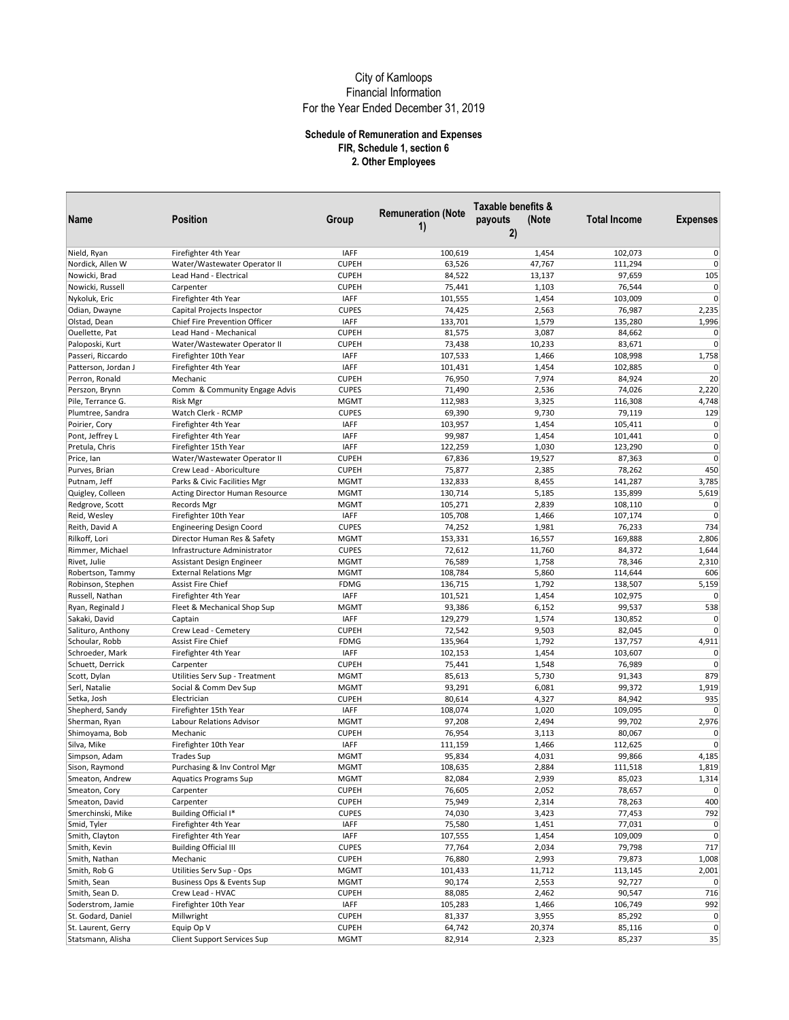|                                 |                                                      |              |                                 | Taxable benefits &     |                     |                 |
|---------------------------------|------------------------------------------------------|--------------|---------------------------------|------------------------|---------------------|-----------------|
| Name                            | Position                                             | Group        | <b>Remuneration (Note</b><br>1) | payouts<br>(Note<br>2) | <b>Total Income</b> | <b>Expenses</b> |
|                                 |                                                      | <b>IAFF</b>  | 100,619                         |                        | 102,073             | $\mathbf 0$     |
| Nield, Ryan<br>Nordick, Allen W | Firefighter 4th Year<br>Water/Wastewater Operator II | <b>CUPEH</b> | 63,526                          | 1,454<br>47,767        | 111,294             | $\overline{0}$  |
|                                 | Lead Hand - Electrical                               |              |                                 |                        |                     | 105             |
| Nowicki, Brad                   |                                                      | <b>CUPEH</b> | 84,522                          | 13,137                 | 97,659              | $\overline{0}$  |
| Nowicki, Russell                | Carpenter                                            | <b>CUPEH</b> | 75,441                          | 1,103                  | 76,544              | $\overline{0}$  |
| Nykoluk, Eric                   | Firefighter 4th Year                                 | <b>IAFF</b>  | 101,555                         | 1,454                  | 103,009             |                 |
| Odian, Dwayne                   | Capital Projects Inspector                           | <b>CUPES</b> | 74,425                          | 2,563                  | 76,987              | 2,235           |
| Olstad, Dean                    | Chief Fire Prevention Officer                        | <b>IAFF</b>  | 133,701                         | 1,579                  | 135,280             | 1,996           |
| Ouellette, Pat                  | Lead Hand - Mechanical                               | <b>CUPEH</b> | 81,575                          | 3,087                  | 84,662              | $\Omega$        |
| Paloposki, Kurt                 | Water/Wastewater Operator II                         | <b>CUPEH</b> | 73,438                          | 10,233                 | 83,671              | $\Omega$        |
| Passeri, Riccardo               | Firefighter 10th Year                                | <b>IAFF</b>  | 107,533                         | 1,466                  | 108,998             | 1,758           |
| Patterson, Jordan J             | Firefighter 4th Year                                 | IAFF         | 101,431                         | 1,454                  | 102,885             | $\Omega$        |
| Perron, Ronald                  | Mechanic                                             | <b>CUPEH</b> | 76,950                          | 7,974                  | 84,924              | 20              |
| Perszon, Brynn                  | Comm & Community Engage Advis                        | <b>CUPES</b> | 71,490                          | 2,536                  | 74,026              | 2,220           |
| Pile, Terrance G.               | <b>Risk Mgr</b>                                      | <b>MGMT</b>  | 112,983                         | 3,325                  | 116,308             | 4,748           |
| Plumtree, Sandra                | Watch Clerk - RCMP                                   | <b>CUPES</b> | 69,390                          | 9,730                  | 79,119              | 129             |
| Poirier, Cory                   | Firefighter 4th Year                                 | <b>IAFF</b>  | 103,957                         | 1,454                  | 105,411             | $\overline{0}$  |
| Pont, Jeffrey L                 | Firefighter 4th Year                                 | <b>IAFF</b>  | 99,987                          | 1,454                  | 101,441             | $\overline{0}$  |
| Pretula, Chris                  | Firefighter 15th Year                                | <b>IAFF</b>  | 122,259                         | 1,030                  | 123,290             | $\Omega$        |
| Price, Ian                      | Water/Wastewater Operator II                         | <b>CUPEH</b> | 67,836                          | 19,527                 | 87,363              | $\overline{0}$  |
| Purves, Brian                   | Crew Lead - Aboriculture                             | <b>CUPEH</b> | 75,877                          | 2,385                  | 78,262              | 450             |
| Putnam, Jeff                    | Parks & Civic Facilities Mgr                         | <b>MGMT</b>  | 132,833                         | 8,455                  | 141,287             | 3,785           |
| Quigley, Colleen                | Acting Director Human Resource                       | <b>MGMT</b>  | 130,714                         | 5,185                  | 135,899             | 5,619           |
| Redgrove, Scott                 | Records Mgr                                          | <b>MGMT</b>  | 105,271                         | 2,839                  | 108,110             | $\mathbf 0$     |
| Reid, Wesley                    | Firefighter 10th Year                                | IAFF         | 105,708                         | 1,466                  | 107,174             | $\overline{0}$  |
| Reith, David A                  | <b>Engineering Design Coord</b>                      | <b>CUPES</b> | 74,252                          | 1,981                  | 76,233              | 734             |
| Rilkoff. Lori                   | Director Human Res & Safety                          | <b>MGMT</b>  | 153,331                         | 16,557                 | 169,888             | 2,806           |
| Rimmer, Michael                 | Infrastructure Administrator                         | <b>CUPES</b> | 72,612                          | 11,760                 | 84,372              | 1,644           |
| Rivet, Julie                    | Assistant Design Engineer                            | <b>MGMT</b>  | 76,589                          | 1,758                  | 78,346              | 2,310           |
| Robertson, Tammy                | <b>External Relations Mgr</b>                        | <b>MGMT</b>  | 108,784                         | 5,860                  | 114,644             | 606             |
| Robinson, Stephen               | Assist Fire Chief                                    | <b>FDMG</b>  | 136,715                         | 1,792                  | 138,507             | 5,159           |
| Russell, Nathan                 | Firefighter 4th Year                                 | <b>IAFF</b>  | 101,521                         | 1,454                  | 102,975             | $\Omega$        |
| Ryan, Reginald J                | Fleet & Mechanical Shop Sup                          | <b>MGMT</b>  | 93,386                          | 6,152                  | 99,537              | 538             |
| Sakaki, David                   | Captain                                              | <b>IAFF</b>  | 129,279                         | 1,574                  | 130,852             | $\overline{0}$  |
| Salituro, Anthony               | Crew Lead - Cemetery                                 | <b>CUPEH</b> | 72,542                          | 9,503                  | 82,045              | $\overline{0}$  |
| Schoular, Robb                  | Assist Fire Chief                                    | <b>FDMG</b>  | 135,964                         | 1,792                  | 137,757             | 4,911           |
| Schroeder, Mark                 | Firefighter 4th Year                                 | <b>IAFF</b>  | 102,153                         | 1,454                  | 103,607             | $\Omega$        |
| Schuett, Derrick                | Carpenter                                            | <b>CUPEH</b> | 75,441                          | 1,548                  | 76,989              | $\Omega$        |
|                                 |                                                      |              |                                 |                        |                     | 879             |
| Scott, Dylan                    | Utilities Serv Sup - Treatment                       | <b>MGMT</b>  | 85,613                          | 5,730                  | 91,343              | 1,919           |
| Serl, Natalie                   | Social & Comm Dev Sup                                | <b>MGMT</b>  | 93,291                          | 6,081                  | 99,372              |                 |
| Setka, Josh                     | Electrician                                          | <b>CUPEH</b> | 80,614                          | 4,327                  | 84,942              | 935             |
| Shepherd, Sandy                 | Firefighter 15th Year                                | <b>IAFF</b>  | 108,074                         | 1,020                  | 109,095             | $\overline{0}$  |
| Sherman, Ryan                   | Labour Relations Advisor                             | <b>MGMT</b>  | 97,208                          | 2,494                  | 99,702              | 2,976           |
| Shimoyama, Bob                  | Mechanic                                             | <b>CUPEH</b> | 76,954                          | 3,113                  | 80,067              | $\Omega$        |
| Silva, Mike                     | Firefighter 10th Year                                | <b>IAFF</b>  | 111,159                         | 1,466                  | 112,625             | $\Omega$        |
| Simpson, Adam                   | <b>Trades Sup</b>                                    | <b>MGMT</b>  | 95,834                          | 4,031                  | 99,866              | 4,185           |
| Sison, Raymond                  | Purchasing & Inv Control Mgr                         | <b>MGMT</b>  | 108,635                         | 2,884                  | 111,518             | 1,819           |
| Smeaton, Andrew                 | <b>Aquatics Programs Sup</b>                         | <b>MGMT</b>  | 82,084                          | 2,939                  | 85,023              | 1,314           |
| Smeaton, Cory                   | Carpenter                                            | <b>CUPEH</b> | 76,605                          | 2,052                  | 78,657              | $\overline{0}$  |
| Smeaton, David                  | Carpenter                                            | <b>CUPEH</b> | 75,949                          | 2,314                  | 78,263              | 400             |
| Smerchinski, Mike               | Building Official I*                                 | <b>CUPES</b> | 74,030                          | 3,423                  | 77,453              | 792             |
| Smid, Tyler                     | Firefighter 4th Year                                 | <b>IAFF</b>  | 75,580                          | 1,451                  | 77,031              | $\overline{0}$  |
| Smith, Clayton                  | Firefighter 4th Year                                 | <b>IAFF</b>  | 107,555                         | 1,454                  | 109,009             | $\overline{0}$  |
| Smith, Kevin                    | <b>Building Official III</b>                         | <b>CUPES</b> | 77,764                          | 2,034                  | 79,798              | 717             |
| Smith, Nathan                   | Mechanic                                             | <b>CUPEH</b> | 76,880                          | 2,993                  | 79,873              | 1,008           |
| Smith, Rob G                    | Utilities Serv Sup - Ops                             | <b>MGMT</b>  | 101,433                         | 11,712                 | 113,145             | 2,001           |
| Smith, Sean                     | Business Ops & Events Sup                            | <b>MGMT</b>  | 90,174                          | 2,553                  | 92,727              | $\overline{0}$  |
| Smith, Sean D.                  | Crew Lead - HVAC                                     | <b>CUPEH</b> | 88,085                          | 2,462                  | 90,547              | 716             |
| Soderstrom, Jamie               | Firefighter 10th Year                                | <b>IAFF</b>  | 105,283                         | 1,466                  | 106,749             | 992             |
| St. Godard, Daniel              | Millwright                                           | <b>CUPEH</b> | 81,337                          | 3,955                  | 85,292              | $\circ$         |
| St. Laurent, Gerry              | Equip Op V                                           | <b>CUPEH</b> | 64,742                          | 20,374                 | 85,116              | $\overline{0}$  |
| Statsmann, Alisha               | Client Support Services Sup                          | <b>MGMT</b>  | 82,914                          | 2,323                  | 85,237              | 35              |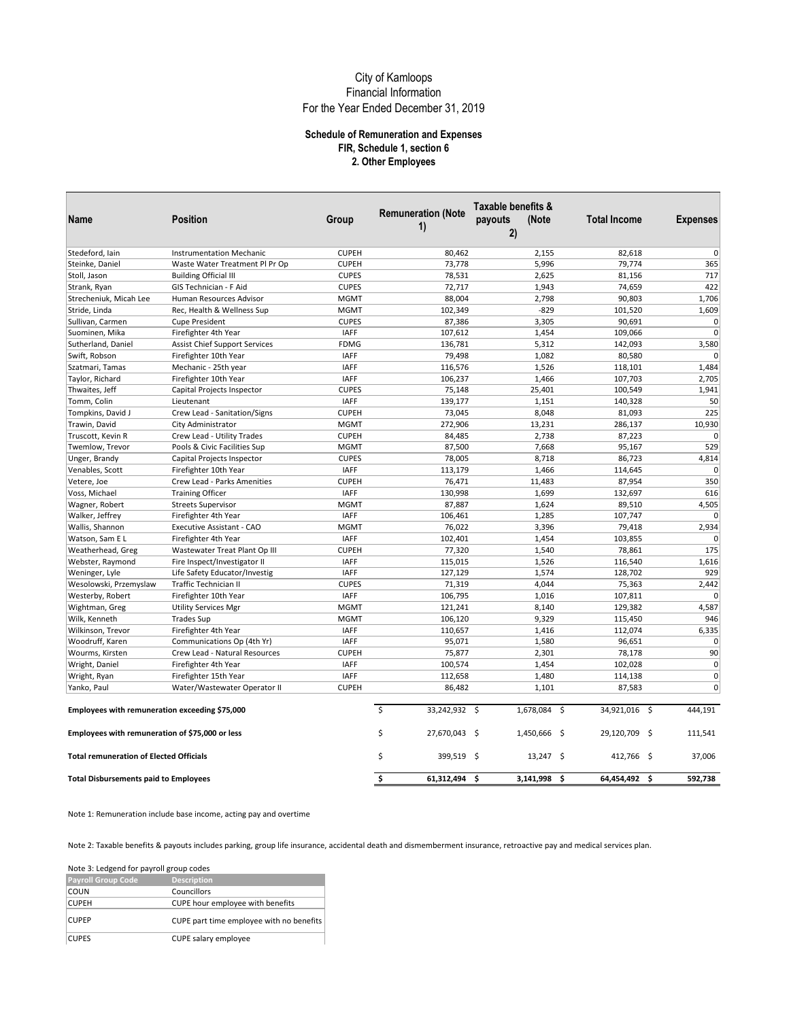### **Schedule of Remuneration and Expenses FIR, Schedule 1, section 6 2. Other Employees**

| Name                                            |                                      |              |                           | Taxable benefits & |                      |                 |
|-------------------------------------------------|--------------------------------------|--------------|---------------------------|--------------------|----------------------|-----------------|
|                                                 | <b>Position</b>                      | Group        | <b>Remuneration (Note</b> | payouts<br>(Note   | <b>Total Income</b>  | <b>Expenses</b> |
|                                                 |                                      |              | 1)                        | 2)                 |                      |                 |
|                                                 |                                      |              |                           |                    |                      |                 |
| Stedeford, Iain                                 | <b>Instrumentation Mechanic</b>      | <b>CUPEH</b> | 80,462                    | 2,155              | 82,618               | $\mathbf 0$     |
| Steinke, Daniel                                 | Waste Water Treatment Pl Pr Op       | <b>CUPEH</b> | 73,778                    | 5,996              | 79,774               | 365             |
| Stoll, Jason                                    | <b>Building Official III</b>         | <b>CUPES</b> | 78,531                    | 2,625              | 81,156               | 717             |
| Strank, Ryan                                    | GIS Technician - F Aid               | <b>CUPES</b> | 72,717                    | 1,943              | 74,659               | 422             |
| Strecheniuk, Micah Lee                          | Human Resources Advisor              | <b>MGMT</b>  | 88,004                    | 2,798              | 90,803               | 1,706           |
| Stride, Linda                                   | Rec, Health & Wellness Sup           | <b>MGMT</b>  | 102,349                   | $-829$             | 101,520              | 1,609           |
| Sullivan, Carmen                                | <b>Cupe President</b>                | <b>CUPES</b> | 87,386                    | 3,305              | 90,691               | $\mathbf 0$     |
| Suominen, Mika                                  | Firefighter 4th Year                 | <b>IAFF</b>  | 107,612                   | 1,454              | 109,066              | $\mathbf 0$     |
| Sutherland, Daniel                              | <b>Assist Chief Support Services</b> | <b>FDMG</b>  | 136,781                   | 5,312              | 142,093              | 3,580           |
| Swift, Robson                                   | Firefighter 10th Year                | <b>IAFF</b>  | 79,498                    | 1,082              | 80,580               | $\mathbf 0$     |
| Szatmari, Tamas                                 | Mechanic - 25th year                 | <b>IAFF</b>  | 116,576                   | 1,526              | 118,101              | 1,484           |
| Taylor, Richard                                 | Firefighter 10th Year                | <b>IAFF</b>  | 106,237                   | 1,466              | 107,703              | 2,705           |
| Thwaites, Jeff                                  | Capital Projects Inspector           | <b>CUPES</b> | 75,148                    | 25,401             | 100,549              | 1,941           |
| Tomm, Colin                                     | Lieutenant                           | <b>IAFF</b>  | 139,177                   | 1,151              | 140,328              | 50              |
| Tompkins, David J                               | Crew Lead - Sanitation/Signs         | <b>CUPEH</b> | 73,045                    | 8,048              | 81,093               | 225             |
| Trawin, David                                   | City Administrator                   | <b>MGMT</b>  | 272,906                   | 13,231             | 286,137              | 10,930          |
| Truscott, Kevin R                               | Crew Lead - Utility Trades           | <b>CUPEH</b> | 84,485                    | 2,738              | 87,223               | $\mathbf 0$     |
| Twemlow, Trevor                                 | Pools & Civic Facilities Sup         | <b>MGMT</b>  | 87,500                    | 7,668              | 95,167               | 529             |
| Unger, Brandy                                   | Capital Projects Inspector           | <b>CUPES</b> | 78,005                    | 8,718              | 86,723               | 4,814           |
| Venables, Scott                                 | Firefighter 10th Year                | <b>IAFF</b>  | 113,179                   | 1,466              | 114,645              | $\mathbf 0$     |
| Vetere, Joe                                     | Crew Lead - Parks Amenities          | <b>CUPEH</b> | 76,471                    | 11,483             | 87,954               | 350             |
| Voss, Michael                                   | <b>Training Officer</b>              | <b>IAFF</b>  | 130,998                   | 1,699              | 132,697              | 616             |
| Wagner, Robert                                  | <b>Streets Supervisor</b>            | <b>MGMT</b>  | 87,887                    | 1,624              | 89,510               | 4,505           |
| Walker, Jeffrey                                 | Firefighter 4th Year                 | <b>IAFF</b>  | 106,461                   | 1,285              | 107,747              | $\mathbf 0$     |
| Wallis, Shannon                                 | Executive Assistant - CAO            | <b>MGMT</b>  | 76,022                    | 3,396              | 79,418               | 2,934           |
| Watson, Sam E L                                 | Firefighter 4th Year                 | <b>IAFF</b>  | 102,401                   | 1,454              | 103,855              | $\Omega$        |
| Weatherhead, Greg                               | Wastewater Treat Plant Op III        | <b>CUPEH</b> | 77,320                    | 1,540              | 78,861               | 175             |
| Webster, Raymond                                | Fire Inspect/Investigator II         | <b>IAFF</b>  | 115,015                   | 1,526              | 116,540              | 1,616           |
| Weninger, Lyle                                  | Life Safety Educator/Investig        | <b>IAFF</b>  | 127,129                   | 1,574              | 128,702              | 929             |
| Wesolowski, Przemyslaw                          | <b>Traffic Technician II</b>         | <b>CUPES</b> | 71,319                    | 4,044              | 75,363               | 2,442           |
| Westerby, Robert                                | Firefighter 10th Year                | <b>IAFF</b>  | 106,795                   | 1,016              | 107,811              | $\mathbf 0$     |
| Wightman, Greg                                  | <b>Utility Services Mgr</b>          | <b>MGMT</b>  | 121,241                   | 8,140              | 129,382              | 4,587           |
| Wilk, Kenneth                                   | <b>Trades Sup</b>                    | <b>MGMT</b>  | 106,120                   | 9,329              | 115,450              | 946             |
| Wilkinson, Trevor                               | Firefighter 4th Year                 | <b>IAFF</b>  | 110,657                   | 1,416              | 112,074              | 6,335           |
| Woodruff, Karen                                 | Communications Op (4th Yr)           | <b>IAFF</b>  | 95,071                    | 1,580              | 96,651               | $\mathbf 0$     |
| Wourms, Kirsten                                 | Crew Lead - Natural Resources        | <b>CUPEH</b> | 75,877                    | 2,301              | 78,178               | 90              |
| Wright, Daniel                                  | Firefighter 4th Year                 | <b>IAFF</b>  | 100,574                   | 1,454              | 102,028              | $\Omega$        |
| Wright, Ryan                                    | Firefighter 15th Year                | <b>IAFF</b>  | 112,658                   | 1,480              | 114,138              | $\mathbf 0$     |
| Yanko, Paul                                     | Water/Wastewater Operator II         | <b>CUPEH</b> | 86,482                    | 1,101              | 87,583               | $\Omega$        |
|                                                 |                                      |              |                           |                    |                      |                 |
| Employees with remuneration exceeding \$75,000  |                                      |              | Ś<br>33,242,932 \$        | 1,678,084 \$       | 34,921,016 \$        | 444.191         |
| Employees with remuneration of \$75,000 or less |                                      |              | \$<br>27,670,043          | - \$<br>1,450,666  | - \$<br>29,120,709   | - \$<br>111,541 |
| <b>Total remuneration of Elected Officials</b>  |                                      |              | \$<br>399,519 \$          | $13,247$ \$        | 412,766 \$           | 37,006          |
| <b>Total Disbursements paid to Employees</b>    |                                      |              | \$<br>61,312,494          | \$<br>3,141,998    | -\$<br>64,454,492 \$ | 592,738         |

Note 1: Remuneration include base income, acting pay and overtime

Note 2: Taxable benefits & payouts includes parking, group life insurance, accidental death and dismemberment insurance, retroactive pay and medical services plan.

Note 3: Ledgend for payroll group codes

| <b>Payroll Group Code</b> | <b>Description</b>                       |
|---------------------------|------------------------------------------|
| <b>COUN</b>               | Councillors                              |
| <b>CUPEH</b>              | CUPE hour employee with benefits         |
| <b>CUPEP</b>              | CUPE part time employee with no benefits |
| <b>CUPES</b>              | CUPE salary employee                     |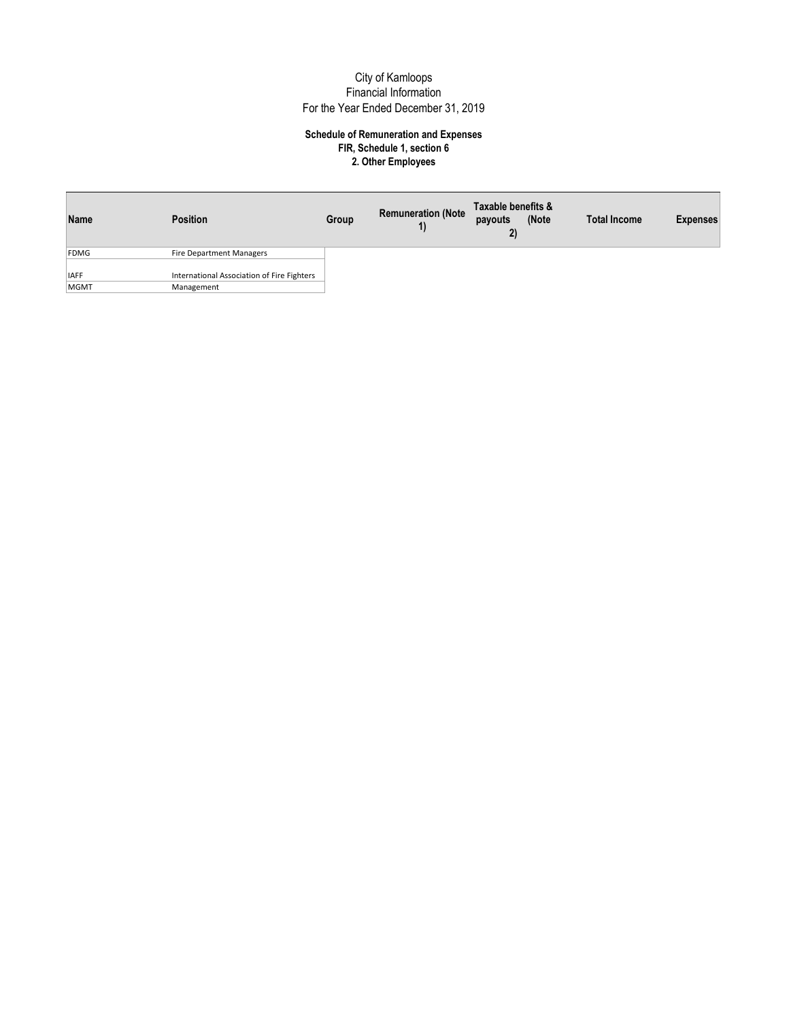| Name                | Position                                                 | Group | <b>Remuneration (Note</b><br>1) | Taxable benefits &<br>payouts<br>2) | (Note | <b>Total Income</b> | <b>Expenses</b> |
|---------------------|----------------------------------------------------------|-------|---------------------------------|-------------------------------------|-------|---------------------|-----------------|
| FDMG                | Fire Department Managers                                 |       |                                 |                                     |       |                     |                 |
| <b>IAFF</b><br>MGMT | International Association of Fire Fighters<br>Management |       |                                 |                                     |       |                     |                 |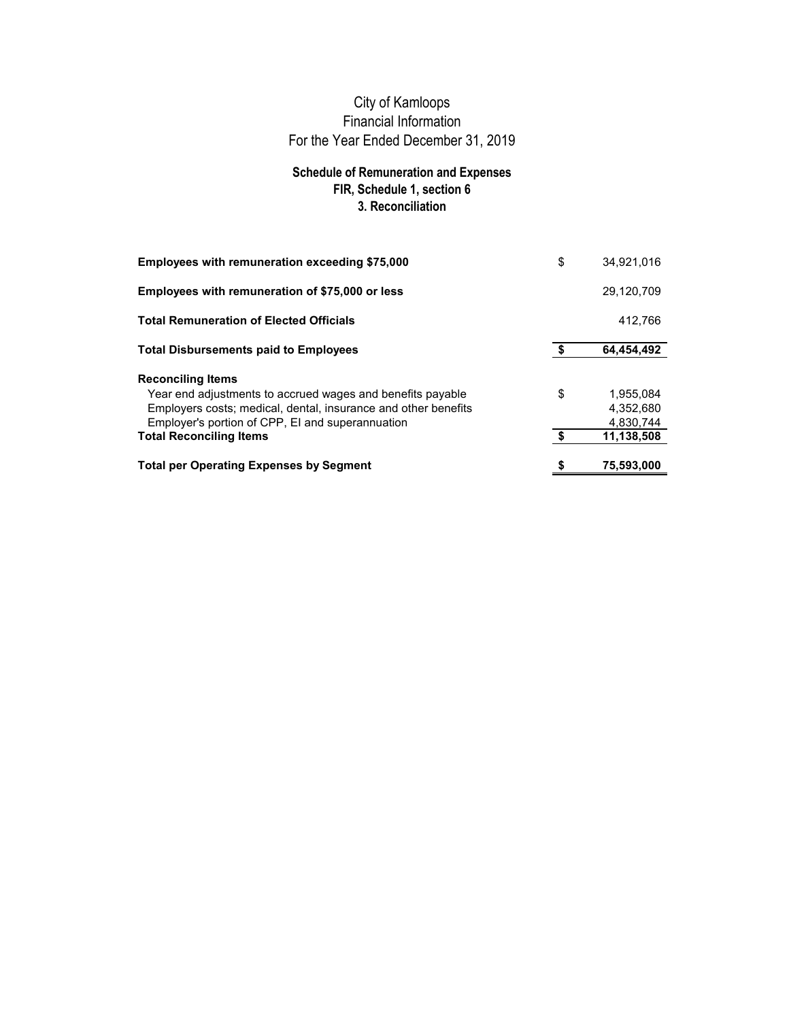## **Schedule of Remuneration and Expenses FIR, Schedule 1, section 6 3. Reconciliation**

| Employees with remuneration of \$75,000 or less                | 29,120,709       |
|----------------------------------------------------------------|------------------|
|                                                                |                  |
| <b>Total Remuneration of Elected Officials</b>                 | 412,766          |
| <b>Total Disbursements paid to Employees</b>                   | \$<br>64,454,492 |
| <b>Reconciling Items</b>                                       |                  |
| Year end adjustments to accrued wages and benefits payable     | \$<br>1,955,084  |
| Employers costs; medical, dental, insurance and other benefits | 4.352.680        |
| Employer's portion of CPP, EI and superannuation               | 4.830.744        |
| <b>Total Reconciling Items</b>                                 | \$<br>11,138,508 |
| <b>Total per Operating Expenses by Segment</b>                 | 75,593,000       |